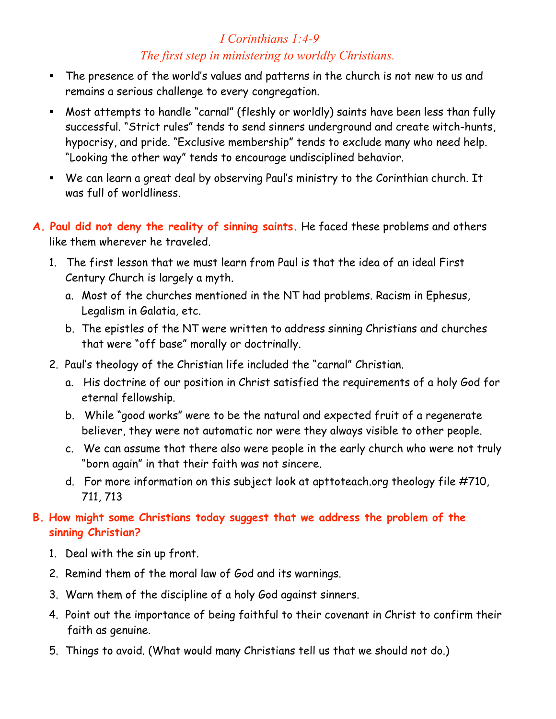# *I Corinthians 1:4-9 The first step in ministering to worldly Christians.*

- The presence of the world's values and patterns in the church is not new to us and remains a serious challenge to every congregation.
- Most attempts to handle "carnal" (fleshly or worldly) saints have been less than fully successful. "Strict rules" tends to send sinners underground and create witch-hunts, hypocrisy, and pride. "Exclusive membership" tends to exclude many who need help. "Looking the other way" tends to encourage undisciplined behavior.
- We can learn a great deal by observing Paul's ministry to the Corinthian church. It was full of worldliness.
- **A. Paul did not deny the reality of sinning saints.** He faced these problems and others like them wherever he traveled.
	- 1. The first lesson that we must learn from Paul is that the idea of an ideal First Century Church is largely a myth.
		- a. Most of the churches mentioned in the NT had problems. Racism in Ephesus, Legalism in Galatia, etc.
		- b. The epistles of the NT were written to address sinning Christians and churches that were "off base" morally or doctrinally.
	- 2. Paul's theology of the Christian life included the "carnal" Christian.
		- a. His doctrine of our position in Christ satisfied the requirements of a holy God for eternal fellowship.
		- b. While "good works" were to be the natural and expected fruit of a regenerate believer, they were not automatic nor were they always visible to other people.
		- c. We can assume that there also were people in the early church who were not truly "born again" in that their faith was not sincere.
		- d. For more information on this subject look at apttoteach.org theology file #710, 711, 713

### **B. How might some Christians today suggest that we address the problem of the sinning Christian?**

- 1. Deal with the sin up front.
- 2. Remind them of the moral law of God and its warnings.
- 3. Warn them of the discipline of a holy God against sinners.
- 4. Point out the importance of being faithful to their covenant in Christ to confirm their faith as genuine.
- 5. Things to avoid. (What would many Christians tell us that we should not do.)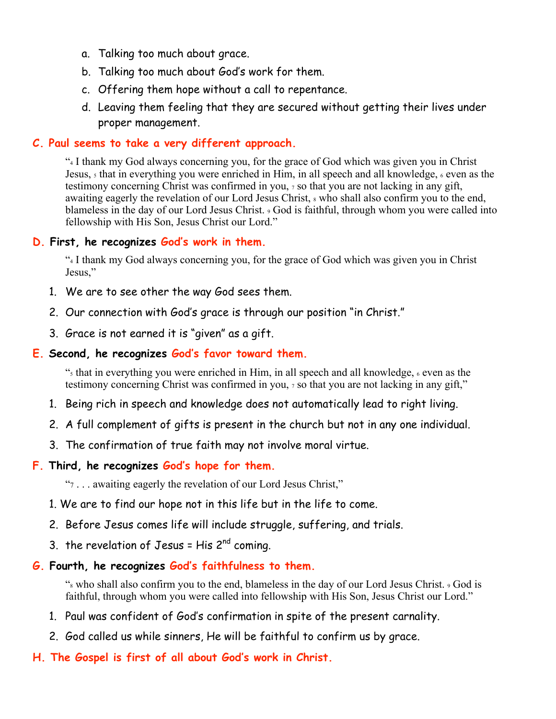- a. Talking too much about grace.
- b. Talking too much about God's work for them.
- c. Offering them hope without a call to repentance.
- d. Leaving them feeling that they are secured without getting their lives under proper management.

#### **C. Paul seems to take a very different approach.**

"4 I thank my God always concerning you, for the grace of God which was given you in Christ Jesus,  $\frac{1}{2}$  that in everything you were enriched in Him, in all speech and all knowledge,  $\frac{1}{2}$  even as the testimony concerning Christ was confirmed in you, 7 so that you are not lacking in any gift, awaiting eagerly the revelation of our Lord Jesus Christ,  $\frac{1}{2}$  who shall also confirm you to the end, blameless in the day of our Lord Jesus Christ. 9 God is faithful, through whom you were called into fellowship with His Son, Jesus Christ our Lord."

### **D. First, he recognizes God's work in them.**

"4 I thank my God always concerning you, for the grace of God which was given you in Christ Jesus,"

- 1. We are to see other the way God sees them.
- 2. Our connection with God's grace is through our position "in Christ."
- 3. Grace is not earned it is "given" as a gift.

### **E. Second, he recognizes God's favor toward them.**

"5 that in everything you were enriched in Him, in all speech and all knowledge, 6 even as the testimony concerning Christ was confirmed in you, 7 so that you are not lacking in any gift,"

- 1. Being rich in speech and knowledge does not automatically lead to right living.
- 2. A full complement of gifts is present in the church but not in any one individual.
- 3. The confirmation of true faith may not involve moral virtue.

#### **F. Third, he recognizes God's hope for them.**

"7 . . . awaiting eagerly the revelation of our Lord Jesus Christ,"

- 1. We are to find our hope not in this life but in the life to come.
- 2. Before Jesus comes life will include struggle, suffering, and trials.
- 3. the revelation of Jesus = His  $2^{nd}$  coming.

# **G. Fourth, he recognizes God's faithfulness to them.**

"8 who shall also confirm you to the end, blameless in the day of our Lord Jesus Christ. 9 God is faithful, through whom you were called into fellowship with His Son, Jesus Christ our Lord."

- 1. Paul was confident of God's confirmation in spite of the present carnality.
- 2. God called us while sinners, He will be faithful to confirm us by grace.
- **H. The Gospel is first of all about God's work in Christ.**